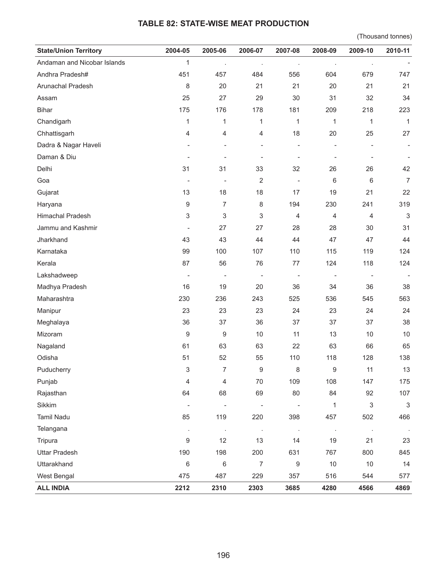## **TABLE 82: STATE-WISE MEAT PRODUCTION**

(Thousand tonnes)

| <b>State/Union Territory</b> | 2004-05                      | 2005-06        | 2006-07        | 2007-08                      | 2008-09          | 2009-10        | 2010-11                   |
|------------------------------|------------------------------|----------------|----------------|------------------------------|------------------|----------------|---------------------------|
| Andaman and Nicobar Islands  | 1                            | $\cdot$        | $\cdot$        | $\cdot$                      | $\cdot$          | $\cdot$        |                           |
| Andhra Pradesh#              | 451                          | 457            | 484            | 556                          | 604              | 679            | 747                       |
| Arunachal Pradesh            | 8                            | 20             | 21             | 21                           | 20               | 21             | 21                        |
| Assam                        | 25                           | 27             | 29             | 30                           | 31               | 32             | 34                        |
| Bihar                        | 175                          | 176            | 178            | 181                          | 209              | 218            | 223                       |
| Chandigarh                   | 1                            | 1              | 1              | 1                            | 1                | 1              | $\mathbf{1}$              |
| Chhattisgarh                 | 4                            | 4              | 4              | 18                           | 20               | 25             | 27                        |
| Dadra & Nagar Haveli         |                              |                |                | ÷,                           | ÷,               |                |                           |
| Daman & Diu                  |                              |                |                | $\overline{a}$               |                  |                |                           |
| Delhi                        | 31                           | 31             | 33             | 32                           | 26               | 26             | 42                        |
| Goa                          | $\overline{a}$               | $\overline{a}$ | $\overline{2}$ | $\overline{a}$               | 6                | 6              | $\overline{7}$            |
| Gujarat                      | 13                           | 18             | 18             | 17                           | 19               | 21             | 22                        |
| Haryana                      | 9                            | 7              | 8              | 194                          | 230              | 241            | 319                       |
| Himachal Pradesh             | 3                            | 3              | 3              | 4                            | 4                | $\overline{4}$ | $\sqrt{3}$                |
| Jammu and Kashmir            | $\qquad \qquad \blacksquare$ | 27             | 27             | 28                           | 28               | 30             | 31                        |
| Jharkhand                    | 43                           | 43             | 44             | 44                           | 47               | 47             | 44                        |
| Karnataka                    | 99                           | 100            | 107            | 110                          | 115              | 119            | 124                       |
| Kerala                       | 87                           | 56             | 76             | 77                           | 124              | 118            | 124                       |
| Lakshadweep                  | $\overline{a}$               | $\overline{a}$ |                | $\qquad \qquad \blacksquare$ |                  | $\frac{1}{2}$  |                           |
| Madhya Pradesh               | 16                           | 19             | 20             | 36                           | 34               | 36             | 38                        |
| Maharashtra                  | 230                          | 236            | 243            | 525                          | 536              | 545            | 563                       |
| Manipur                      | 23                           | 23             | 23             | 24                           | 23               | 24             | 24                        |
| Meghalaya                    | 36                           | 37             | 36             | 37                           | 37               | 37             | 38                        |
| Mizoram                      | 9                            | 9              | 10             | 11                           | 13               | 10             | 10                        |
| Nagaland                     | 61                           | 63             | 63             | 22                           | 63               | 66             | 65                        |
| Odisha                       | 51                           | 52             | 55             | 110                          | 118              | 128            | 138                       |
| Puducherry                   | 3                            | $\overline{7}$ | 9              | 8                            | $\boldsymbol{9}$ | 11             | $13$                      |
| Punjab                       | 4                            | 4              | $70\,$         | 109                          | 108              | 147            | 175                       |
| Rajasthan                    | 64                           | 68             | 69             | 80                           | 84               | 92             | 107                       |
| Sikkim                       | $\qquad \qquad \blacksquare$ |                |                | $\overline{a}$               | $\mathbf 1$      | 3              | $\ensuremath{\mathsf{3}}$ |
| <b>Tamil Nadu</b>            | 85                           | 119            | 220            | 398                          | 457              | 502            | 466                       |
| Telangana                    | $\cdot$                      | $\blacksquare$ | $\blacksquare$ | $\sim$                       | $\cdot$          | $\blacksquare$ |                           |
| Tripura                      | 9                            | 12             | 13             | 14                           | 19               | 21             | 23                        |
| <b>Uttar Pradesh</b>         | 190                          | 198            | 200            | 631                          | 767              | 800            | 845                       |
| Uttarakhand                  | 6                            | 6              | 7              | 9                            | 10               | 10             | 14                        |
| West Bengal                  | 475                          | 487            | 229            | 357                          | 516              | 544            | 577                       |
| <b>ALL INDIA</b>             | 2212                         | 2310           | 2303           | 3685                         | 4280             | 4566           | 4869                      |